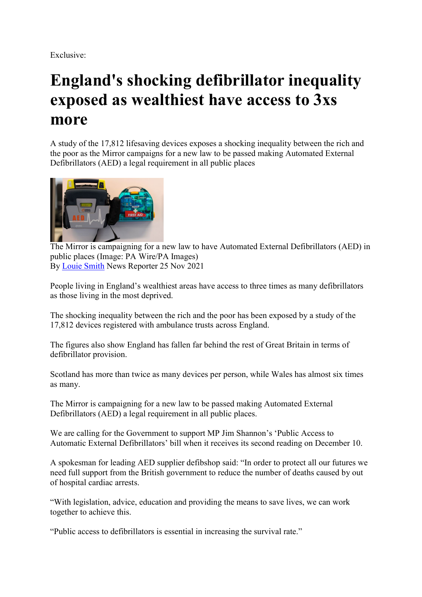Exclusive:

## England's shocking defibrillator inequality exposed as wealthiest have access to 3xs more

A study of the 17,812 lifesaving devices exposes a shocking inequality between the rich and the poor as the Mirror campaigns for a new law to be passed making Automated External Defibrillators (AED) a legal requirement in all public places



The Mirror is campaigning for a new law to have Automated External Defibrillators (AED) in public places (Image: PA Wire/PA Images) By Louie Smith News Reporter 25 Nov 2021

People living in England's wealthiest areas have access to three times as many defibrillators as those living in the most deprived.

The shocking inequality between the rich and the poor has been exposed by a study of the 17,812 devices registered with ambulance trusts across England.

The figures also show England has fallen far behind the rest of Great Britain in terms of defibrillator provision.

Scotland has more than twice as many devices per person, while Wales has almost six times as many.

The Mirror is campaigning for a new law to be passed making Automated External Defibrillators (AED) a legal requirement in all public places.

We are calling for the Government to support MP Jim Shannon's 'Public Access to Automatic External Defibrillators' bill when it receives its second reading on December 10.

A spokesman for leading AED supplier defibshop said: "In order to protect all our futures we need full support from the British government to reduce the number of deaths caused by out of hospital cardiac arrests.

"With legislation, advice, education and providing the means to save lives, we can work together to achieve this.

"Public access to defibrillators is essential in increasing the survival rate."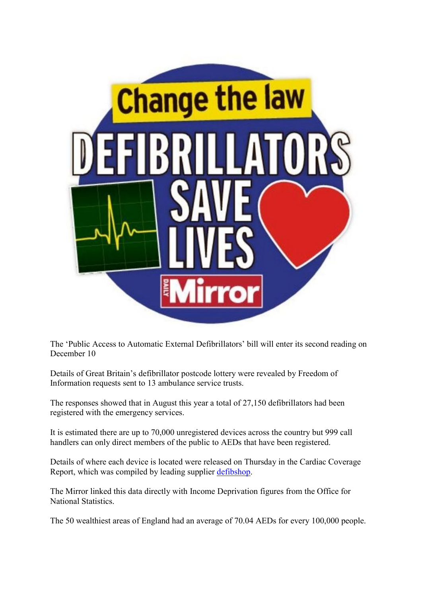

The 'Public Access to Automatic External Defibrillators' bill will enter its second reading on December 10

Details of Great Britain's defibrillator postcode lottery were revealed by Freedom of Information requests sent to 13 ambulance service trusts.

The responses showed that in August this year a total of 27,150 defibrillators had been registered with the emergency services.

It is estimated there are up to 70,000 unregistered devices across the country but 999 call handlers can only direct members of the public to AEDs that have been registered.

Details of where each device is located were released on Thursday in the Cardiac Coverage Report, which was compiled by leading supplier defibshop.

The Mirror linked this data directly with Income Deprivation figures from the Office for National Statistics.

The 50 wealthiest areas of England had an average of 70.04 AEDs for every 100,000 people.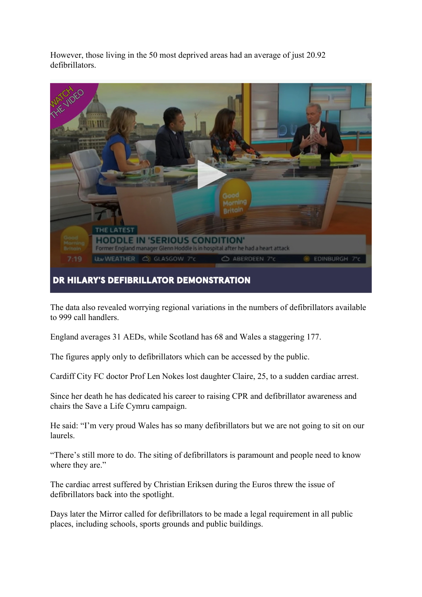However, those living in the 50 most deprived areas had an average of just 20.92 defibrillators.



The data also revealed worrying regional variations in the numbers of defibrillators available to 999 call handlers.

England averages 31 AEDs, while Scotland has 68 and Wales a staggering 177.

The figures apply only to defibrillators which can be accessed by the public.

Cardiff City FC doctor Prof Len Nokes lost daughter Claire, 25, to a sudden cardiac arrest.

Since her death he has dedicated his career to raising CPR and defibrillator awareness and chairs the Save a Life Cymru campaign.

He said: "I'm very proud Wales has so many defibrillators but we are not going to sit on our laurels.

"There's still more to do. The siting of defibrillators is paramount and people need to know where they are."

The cardiac arrest suffered by Christian Eriksen during the Euros threw the issue of defibrillators back into the spotlight.

Days later the Mirror called for defibrillators to be made a legal requirement in all public places, including schools, sports grounds and public buildings.